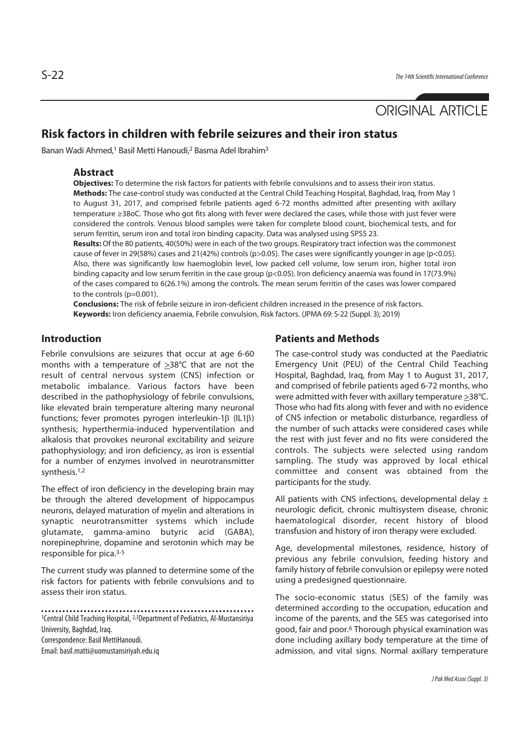# ORIGINAL ARTICLE

## **Risk factors in children with febrile seizures and their iron status**

Banan Wadi Ahmed,1 Basil Metti Hanoudi,2 Basma Adel Ibrahim3

### **Abstract**

**Objectives:** To determine the risk factors for patients with febrile convulsions and to assess their iron status. **Methods:** The case-control study was conducted at the Central Child Teaching Hospital, Baghdad, Iraq, from May 1 to August 31, 2017, and comprised febrile patients aged 6-72 months admitted after presenting with axillary temperature ≥38oC. Those who got fits along with fever were declared the cases, while those with just fever were considered the controls. Venous blood samples were taken for complete blood count, biochemical tests, and for serum ferritin, serum iron and total iron binding capacity. Data was analysed using SPSS 23.

**Results:** Of the 80 patients, 40(50%) were in each of the two groups. Respiratory tract infection was the commonest cause of fever in 29(58%) cases and 21(42%) controls (p>0.05). The cases were significantly younger in age (p<0.05). Also, there was significantly low haemoglobin level, low packed cell volume, low serum iron, higher total iron binding capacity and low serum ferritin in the case group (p<0.05). Iron deficiency anaemia was found in 17(73.9%) of the cases compared to 6(26.1%) among the controls. The mean serum ferritin of the cases was lower compared to the controls (p=0.001).

**Conclusions:** The risk of febrile seizure in iron-deficient children increased in the presence of risk factors. **Keywords:** Iron deficiency anaemia, Febrile convulsion, Risk factors. (JPMA 69: S-22 (Suppl. 3); 2019)

## **Introduction**

Febrile convulsions are seizures that occur at age 6-60 months with a temperature of  $\geq 38^{\circ}$ C that are not the result of central nervous system (CNS) infection or metabolic imbalance. Various factors have been described in the pathophysiology of febrile convulsions, like elevated brain temperature altering many neuronal functions; fever promotes pyrogen interleukin-1β (IL1β) synthesis; hyperthermia-induced hyperventilation and alkalosis that provokes neuronal excitability and seizure pathophysiology; and iron deficiency, as iron is essential for a number of enzymes involved in neurotransmitter synthesis.1,2

The effect of iron deficiency in the developing brain may be through the altered development of hippocampus neurons, delayed maturation of myelin and alterations in synaptic neurotransmitter systems which include glutamate, gamma-amino butyric acid (GABA), norepinephrine, dopamine and serotonin which may be responsible for pica.3-5

The current study was planned to determine some of the risk factors for patients with febrile convulsions and to assess their iron status.

Correspondence: Basil MettiHanoudi.

Email: basil.matti@uomustansiriyah.edu.iq

### **Patients and Methods**

The case-control study was conducted at the Paediatric Emergency Unit (PEU) of the Central Child Teaching Hospital, Baghdad, Iraq, from May 1 to August 31, 2017, and comprised of febrile patients aged 6-72 months, who were admitted with fever with axillary temperature >38°C. Those who had fits along with fever and with no evidence of CNS infection or metabolic disturbance, regardless of the number of such attacks were considered cases while the rest with just fever and no fits were considered the controls. The subjects were selected using random sampling. The study was approved by local ethical committee and consent was obtained from the participants for the study.

All patients with CNS infections, developmental delay  $\pm$ neurologic deficit, chronic multisystem disease, chronic haematological disorder, recent history of blood transfusion and history of iron therapy were excluded.

Age, developmental milestones, residence, history of previous any febrile convulsion, feeding history and family history of febrile convulsion or epilepsy were noted using a predesigned questionnaire.

The socio-economic status (SES) of the family was determined according to the occupation, education and income of the parents, and the SES was categorised into good, fair and poor.6 Thorough physical examination was done including axillary body temperature at the time of admission, and vital signs. Normal axillary temperature

<sup>1</sup>Central Child Teaching Hospital, 2,3Department of Pediatrics, Al-Mustansiriya University, Baghdad, Iraq.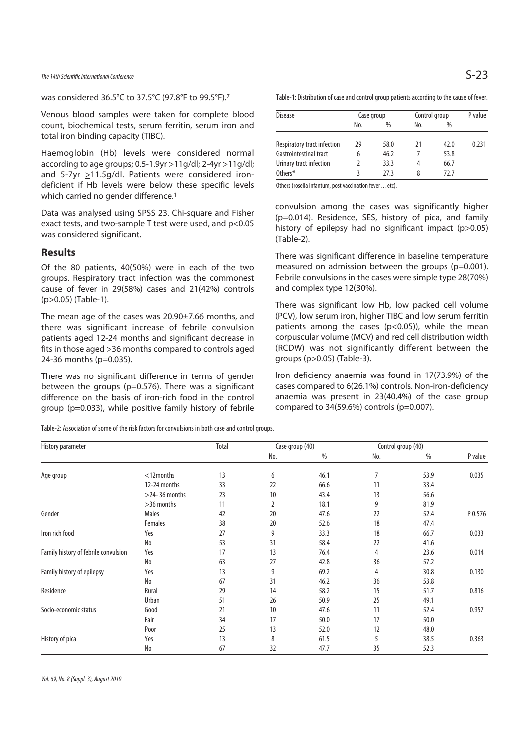The 14th Scientific International Conference  $\mathsf{S}\text{-}23$ 

was considered 36.5°C to 37.5°C (97.8°F to 99.5°F).7

Venous blood samples were taken for complete blood count, biochemical tests, serum ferritin, serum iron and total iron binding capacity (TIBC).

Haemoglobin (Hb) levels were considered normal according to age groups;  $0.5-1.9$ yr  $\geq$ 11g/dl; 2-4yr  $\geq$ 11g/dl; and 5-7yr >11.5g/dl. Patients were considered irondeficient if Hb levels were below these specific levels which carried no gender difference.<sup>1</sup>

Data was analysed using SPSS 23. Chi-square and Fisher exact tests, and two-sample T test were used, and p<0.05 was considered significant.

#### **Results**

Of the 80 patients, 40(50%) were in each of the two groups. Respiratory tract infection was the commonest cause of fever in 29(58%) cases and 21(42%) controls (p>0.05) (Table-1).

The mean age of the cases was 20.90±7.66 months, and there was significant increase of febrile convulsion patients aged 12-24 months and significant decrease in fits in those aged >36 months compared to controls aged 24-36 months (p=0.035).

There was no significant difference in terms of gender between the groups (p=0.576). There was a significant difference on the basis of iron-rich food in the control group (p=0.033), while positive family history of febrile

Table-2: Association of some of the risk factors for convulsions in both case and control groups.

Table-1: Distribution of case and control group patients according to the cause of fever.

| Disease                     | Case group |      | Control group |      | P value |
|-----------------------------|------------|------|---------------|------|---------|
|                             | No.        | $\%$ | No.           | $\%$ |         |
|                             |            |      |               |      |         |
| Respiratory tract infection | 29         | 58.0 | 21            | 42.0 | 0.231   |
| Gastrointestinal tract      | 6          | 46.2 |               | 53.8 |         |
| Urinary tract infection     |            | 33.3 | 4             | 66.7 |         |
| Others*                     |            | 27.3 | 8             | 72.7 |         |

Others (rosella infantum, post vaccination fever…etc).

convulsion among the cases was significantly higher (p=0.014). Residence, SES, history of pica, and family history of epilepsy had no significant impact (p>0.05) (Table-2).

There was significant difference in baseline temperature measured on admission between the groups (p=0.001). Febrile convulsions in the cases were simple type 28(70%) and complex type 12(30%).

There was significant low Hb, low packed cell volume (PCV), low serum iron, higher TIBC and low serum ferritin patients among the cases (p<0.05)), while the mean corpuscular volume (MCV) and red cell distribution width (RCDW) was not significantly different between the groups (p>0.05) (Table-3).

Iron deficiency anaemia was found in 17(73.9%) of the cases compared to 6(26.1%) controls. Non-iron-deficiency anaemia was present in 23(40.4%) of the case group compared to  $34(59.6%)$  controls (p=0.007).

| History parameter                    |                  | Total | Case group (40) |      | Control group (40) |      |         |
|--------------------------------------|------------------|-------|-----------------|------|--------------------|------|---------|
|                                      |                  |       | No.             | %    | No.                | %    | P value |
| Age group                            | $<$ 12months     | 13    | 6               | 46.1 | 7                  | 53.9 | 0.035   |
|                                      | 12-24 months     | 33    | 22              | 66.6 | 11                 | 33.4 |         |
|                                      | $>$ 24-36 months | 23    | 10              | 43.4 | 13                 | 56.6 |         |
|                                      | >36 months       | 11    | 2               | 18.1 | 9                  | 81.9 |         |
| Gender                               | Males            | 42    | 20              | 47.6 | 22                 | 52.4 | P 0.576 |
|                                      | Females          | 38    | 20              | 52.6 | 18                 | 47.4 |         |
| Iron rich food                       | Yes              | 27    | 9               | 33.3 | 18                 | 66.7 | 0.033   |
|                                      | No               | 53    | 31              | 58.4 | 22                 | 41.6 |         |
| Family history of febrile convulsion | Yes              | 17    | 13              | 76.4 | 4                  | 23.6 | 0.014   |
|                                      | No               | 63    | 27              | 42.8 | 36                 | 57.2 |         |
| Family history of epilepsy           | Yes              | 13    | 9               | 69.2 | 4                  | 30.8 | 0.130   |
|                                      | No               | 67    | 31              | 46.2 | 36                 | 53.8 |         |
| Residence                            | Rural            | 29    | 14              | 58.2 | 15                 | 51.7 | 0.816   |
|                                      | Urban            | 51    | 26              | 50.9 | 25                 | 49.1 |         |
| Socio-economic status                | Good             | 21    | 10              | 47.6 | 11                 | 52.4 | 0.957   |
|                                      | Fair             | 34    | 17              | 50.0 | 17                 | 50.0 |         |
|                                      | Poor             | 25    | 13              | 52.0 | 12                 | 48.0 |         |
| History of pica                      | Yes              | 13    | 8               | 61.5 | 5                  | 38.5 | 0.363   |
|                                      | No               | 67    | 32              | 47.7 | 35                 | 52.3 |         |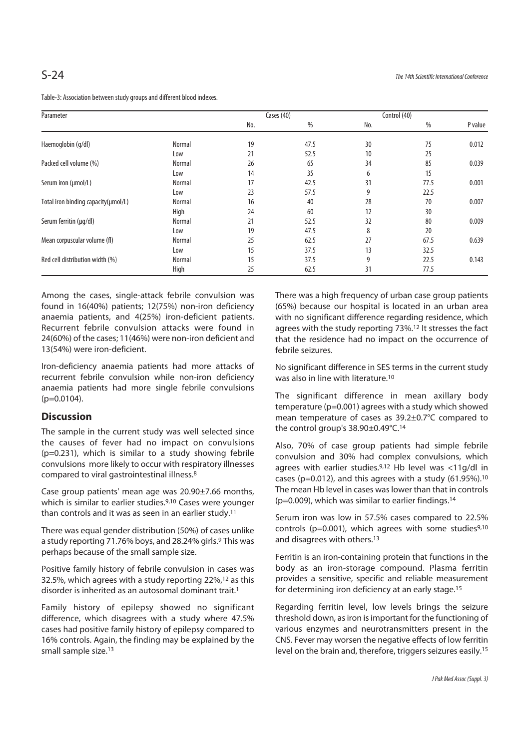| Parameter                           |        | Cases (40) |      |     | Control (40) |         |
|-------------------------------------|--------|------------|------|-----|--------------|---------|
|                                     |        | No.        | %    | No. | $\%$         | P value |
| Haemoglobin (g/dl)                  | Normal | 19         | 47.5 | 30  | 75           | 0.012   |
|                                     | Low    | 21         | 52.5 | 10  | 25           |         |
| Packed cell volume (%)              | Normal | 26         | 65   | 34  | 85           | 0.039   |
|                                     | Low    | 14         | 35   | 6   | 15           |         |
| Serum iron (µmol/L)                 | Normal | 17         | 42.5 | 31  | 77.5         | 0.001   |
|                                     | Low    | 23         | 57.5 | 9   | 22.5         |         |
| Total iron binding capacity(umol/L) | Normal | 16         | 40   | 28  | 70           | 0.007   |
|                                     | High   | 24         | 60   | 12  | 30           |         |
| Serum ferritin (µg/dl)              | Normal | 21         | 52.5 | 32  | 80           | 0.009   |
|                                     | Low    | 19         | 47.5 | 8   | 20           |         |
| Mean corpuscular volume (fl)        | Normal | 25         | 62.5 | 27  | 67.5         | 0.639   |
|                                     | Low    | 15         | 37.5 | 13  | 32.5         |         |
| Red cell distribution width (%)     | Normal | 15         | 37.5 | 9   | 22.5         | 0.143   |
|                                     | High   | 25         | 62.5 | 31  | 77.5         |         |

Table-3: Association between study groups and different blood indexes.

Among the cases, single-attack febrile convulsion was found in 16(40%) patients; 12(75%) non-iron deficiency anaemia patients, and 4(25%) iron-deficient patients. Recurrent febrile convulsion attacks were found in 24(60%) of the cases; 11(46%) were non-iron deficient and 13(54%) were iron-deficient.

Iron-deficiency anaemia patients had more attacks of recurrent febrile convulsion while non-iron deficiency anaemia patients had more single febrile convulsions (p=0.0104).

## **Discussion**

The sample in the current study was well selected since the causes of fever had no impact on convulsions (p=0.231), which is similar to a study showing febrile convulsions more likely to occur with respiratory illnesses compared to viral gastrointestinal illness.8

Case group patients' mean age was 20.90±7.66 months, which is similar to earlier studies.9,10 Cases were younger than controls and it was as seen in an earlier study.11

There was equal gender distribution (50%) of cases unlike a study reporting 71.76% boys, and 28.24% girls.9 This was perhaps because of the small sample size.

Positive family history of febrile convulsion in cases was 32.5%, which agrees with a study reporting 22%,12 as this disorder is inherited as an autosomal dominant trait.<sup>1</sup>

Family history of epilepsy showed no significant difference, which disagrees with a study where 47.5% cases had positive family history of epilepsy compared to 16% controls. Again, the finding may be explained by the small sample size.13

There was a high frequency of urban case group patients (65%) because our hospital is located in an urban area with no significant difference regarding residence, which agrees with the study reporting 73%.12 It stresses the fact that the residence had no impact on the occurrence of febrile seizures.

No significant difference in SES terms in the current study was also in line with literature.10

The significant difference in mean axillary body temperature (p=0.001) agrees with a study which showed mean temperature of cases as 39.2±0.7°C compared to the control group's 38.90±0.49°C.14

Also, 70% of case group patients had simple febrile convulsion and 30% had complex convulsions, which agrees with earlier studies.9,12 Hb level was <11g/dl in cases (p=0.012), and this agrees with a study (61.95%).10 The mean Hb level in cases was lower than that in controls (p=0.009), which was similar to earlier findings.14

Serum iron was low in 57.5% cases compared to 22.5% controls ( $p=0.001$ ), which agrees with some studies<sup>9,10</sup> and disagrees with others.13

Ferritin is an iron-containing protein that functions in the body as an iron-storage compound. Plasma ferritin provides a sensitive, specific and reliable measurement for determining iron deficiency at an early stage.15

Regarding ferritin level, low levels brings the seizure threshold down, as iron is important for the functioning of various enzymes and neurotransmitters present in the CNS. Fever may worsen the negative effects of low ferritin level on the brain and, therefore, triggers seizures easily.15